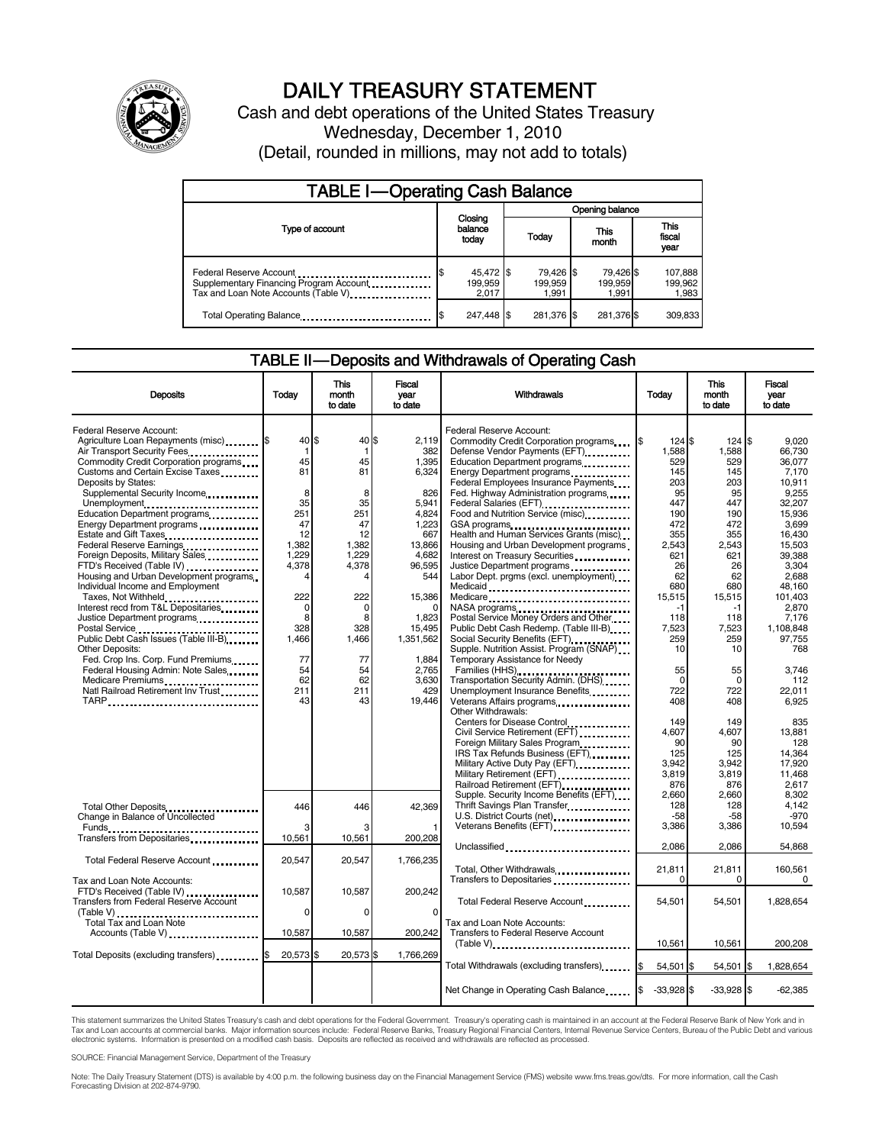

# DAILY TREASURY STATEMENT

Cash and debt operations of the United States Treasury Wednesday, December 1, 2010 (Detail, rounded in millions, may not add to totals)

| <b>TABLE I-Operating Cash Balance</b>                                                                      |                               |                               |                               |                             |  |  |
|------------------------------------------------------------------------------------------------------------|-------------------------------|-------------------------------|-------------------------------|-----------------------------|--|--|
|                                                                                                            |                               | Opening balance               |                               |                             |  |  |
| Type of account                                                                                            | Closing<br>balance<br>today   | Today                         | This<br>month                 |                             |  |  |
| Federal Reserve Account<br>Supplementary Financing Program Account<br>Tax and Loan Note Accounts (Table V) | 45,472 \$<br>199.959<br>2.017 | 79,426 \$<br>199.959<br>1.991 | 79.426 \$<br>199.959<br>1.991 | 107,888<br>199,962<br>1,983 |  |  |
| Total Operating Balance                                                                                    | 247.448 \$                    | 281,376 \$                    | 281,376 \$                    | 309,833                     |  |  |

### TABLE II — Deposits and Withdrawals of Operating Cash

| <b>Deposits</b>                                             | Today    | <b>This</b><br>month<br>to date | Fiscal<br>vear<br>to date | Withdrawals                                                                                                                                                                                                                      | Today        | <b>This</b><br>month<br>to date | <b>Fiscal</b><br>year<br>to date |
|-------------------------------------------------------------|----------|---------------------------------|---------------------------|----------------------------------------------------------------------------------------------------------------------------------------------------------------------------------------------------------------------------------|--------------|---------------------------------|----------------------------------|
|                                                             |          |                                 |                           |                                                                                                                                                                                                                                  |              |                                 |                                  |
| Federal Reserve Account:                                    |          |                                 |                           | Federal Reserve Account:                                                                                                                                                                                                         |              |                                 |                                  |
| Agriculture Loan Repayments (misc) [\$                      | 40 \$    | 40 \$                           | 2.119                     | Commodity Credit Corporation programs                                                                                                                                                                                            | 124S         | 124S                            | 9.020                            |
| Air Transport Security Fees                                 | 1        |                                 | 382                       | Defense Vendor Payments (EFT)                                                                                                                                                                                                    | 1,588        | 1,588                           | 66,730                           |
| Commodity Credit Corporation programs                       | 45       | 45                              | 1,395                     | Education Department programs                                                                                                                                                                                                    | 529          | 529                             | 36.077                           |
| Customs and Certain Excise Taxes                            | 81       | 81                              | 6,324                     | Energy Department programs<br>                                                                                                                                                                                                   | 145          | 145                             | 7,170                            |
| Deposits by States:                                         |          |                                 |                           | Federal Employees Insurance Payments                                                                                                                                                                                             | 203          | 203                             | 10.911                           |
| Supplemental Security Income                                | 8        | 8                               | 826                       | Fed. Highway Administration programs                                                                                                                                                                                             | 95           | 95                              | 9,255                            |
| Unemployment                                                | 35       | 35                              | 5,941                     | Federal Salaries (EFT)                                                                                                                                                                                                           | 447          | 447                             | 32.207                           |
| Education Department programs                               | 251      | 251                             | 4.824                     | Food and Nutrition Service (misc)                                                                                                                                                                                                | 190          | 190                             | 15.936                           |
| Energy Department programs                                  | 47       | 47                              | 1,223                     |                                                                                                                                                                                                                                  | 472          | 472                             | 3,699                            |
| Estate and Gift Taxes                                       | 12       | 12                              | 667                       | Health and Human Services Grants (misc)                                                                                                                                                                                          | 355          | 355                             | 16,430                           |
| Federal Reserve Earnings                                    | 1,382    | 1,382                           | 13,866                    | Housing and Urban Development programs                                                                                                                                                                                           | 2,543        | 2,543                           | 15,503                           |
| Foreign Deposits, Military Sales                            | 1.229    | 1.229                           | 4.682                     | Interest on Treasury Securities                                                                                                                                                                                                  | 621          | 621                             | 39.388                           |
| FTD's Received (Table IV)                                   | 4,378    | 4,378                           | 96,595                    | Justice Department programs                                                                                                                                                                                                      | 26<br>62     | 26<br>62                        | 3,304                            |
| Housing and Urban Development programs                      | 4        |                                 | 544                       | Labor Dept. prgms (excl. unemployment)                                                                                                                                                                                           |              |                                 | 2.688                            |
| Individual Income and Employment                            |          |                                 |                           | Medicaid                                                                                                                                                                                                                         | 680          | 680                             | 48.160                           |
| Taxes, Not Withheld                                         | 222      | 222                             | 15,386                    | Medicare                                                                                                                                                                                                                         | 15,515       | 15,515                          | 101,403                          |
| Interest recd from T&L Depositaries                         | $\Omega$ | $\Omega$                        |                           | NASA programs<br>unity of the case of the case of the case of the case of the case of the case of the case of the case of the case of the case of the case of the case of the case of the case of the case of the case of the ca | -1           | -1                              | 2.870                            |
| Justice Department programs                                 | 8        | 8                               | 1,823                     | Postal Service Money Orders and Other                                                                                                                                                                                            | 118          | 118                             | 7,176                            |
| Postal Service<br>Public Debt Cash Issues (Table III-B)<br> | 328      | 328                             | 15.495                    | Public Debt Cash Redemp. (Table III-B)                                                                                                                                                                                           | 7.523        | 7,523                           | 1.108.848                        |
|                                                             | 1,466    | 1,466                           | 1,351,562                 | Social Security Benefits (EFT)                                                                                                                                                                                                   | 259          | 259                             | 97,755                           |
| <b>Other Deposits:</b>                                      |          |                                 |                           | Supple. Nutrition Assist. Program (SNAP)                                                                                                                                                                                         | 10           | 10                              | 768                              |
| Fed. Crop Ins. Corp. Fund Premiums                          | 77       | 77                              | 1,884                     | Temporary Assistance for Needy                                                                                                                                                                                                   |              |                                 |                                  |
| Federal Housing Admin: Note Sales                           | 54       | 54<br>62                        | 2.765                     | Families (HHS)<br>Transportation Security Admin. (DHS)                                                                                                                                                                           | 55           | 55                              | 3.746                            |
| Medicare Premiums                                           | 62       |                                 | 3,630                     |                                                                                                                                                                                                                                  | $\Omega$     | $\Omega$                        | 112                              |
| Natl Railroad Retirement Inv Trust                          | 211      | 211                             | 429                       | Unemployment Insurance Benefits                                                                                                                                                                                                  | 722          | 722                             | 22,011                           |
|                                                             | 43       | 43                              | 19,446                    | Veterans Affairs programs                                                                                                                                                                                                        | 408          | 408                             | 6,925                            |
|                                                             |          |                                 |                           | Other Withdrawals:                                                                                                                                                                                                               |              |                                 |                                  |
|                                                             |          |                                 |                           | Centers for Disease Control                                                                                                                                                                                                      | 149          | 149                             | 835                              |
|                                                             |          |                                 |                           | Civil Service Retirement (EFT) [100]                                                                                                                                                                                             | 4.607        | 4.607<br>90                     | 13.881                           |
|                                                             |          |                                 |                           | Foreign Military Sales Program                                                                                                                                                                                                   | 90           |                                 | 128                              |
|                                                             |          |                                 |                           | IRS Tax Refunds Business (EFT)                                                                                                                                                                                                   | 125<br>3,942 | 125                             | 14.364<br>17.920                 |
|                                                             |          |                                 |                           | Military Active Duty Pay (EFT)                                                                                                                                                                                                   |              | 3.942<br>3,819                  | 11,468                           |
|                                                             |          |                                 |                           | Military Retirement (EFT)                                                                                                                                                                                                        | 3,819        |                                 |                                  |
|                                                             |          |                                 |                           | Railroad Retirement (EFT)                                                                                                                                                                                                        | 876<br>2,660 | 876<br>2,660                    | 2,617<br>8,302                   |
|                                                             |          |                                 |                           | Supple. Security Income Benefits (EFT)<br>Thrift Savings Plan Transfer                                                                                                                                                           | 128          | 128                             | 4,142                            |
| Total Other Deposits                                        | 446      | 446                             | 42,369                    | U.S. District Courts (net)                                                                                                                                                                                                       | -58          | $-58$                           | $-970$                           |
| Change in Balance of Uncollected                            |          |                                 |                           |                                                                                                                                                                                                                                  | 3,386        | 3,386                           | 10,594                           |
|                                                             | 10,561   | 10,561                          | 200.208                   |                                                                                                                                                                                                                                  |              |                                 |                                  |
| Transfers from Depositaries                                 |          |                                 |                           | Unclassified                                                                                                                                                                                                                     | 2.086        | 2,086                           | 54,868                           |
|                                                             |          |                                 |                           |                                                                                                                                                                                                                                  |              |                                 |                                  |
| Total Federal Reserve Account                               | 20,547   | 20,547                          | 1,766,235                 |                                                                                                                                                                                                                                  | 21,811       | 21,811                          | 160,561                          |
|                                                             |          |                                 |                           |                                                                                                                                                                                                                                  | 0            | 0                               | 0                                |
| Tax and Loan Note Accounts:                                 | 10.587   |                                 |                           |                                                                                                                                                                                                                                  |              |                                 |                                  |
| FTD's Received (Table IV)                                   |          | 10,587                          | 200,242                   |                                                                                                                                                                                                                                  |              |                                 |                                  |
| <b>Transfers from Federal Reserve Account</b>               |          |                                 |                           | Total Federal Reserve Account                                                                                                                                                                                                    | 54,501       | 54,501                          | 1,828,654                        |
| Table V)<br>Total Tax and Loan Note                         | $\Omega$ | $\Omega$                        | $\Omega$                  |                                                                                                                                                                                                                                  |              |                                 |                                  |
|                                                             |          |                                 |                           | Tax and Loan Note Accounts:                                                                                                                                                                                                      |              |                                 |                                  |
| Accounts (Table V)                                          | 10,587   | 10,587                          | 200,242                   | Transfers to Federal Reserve Account                                                                                                                                                                                             |              |                                 |                                  |
|                                                             |          |                                 |                           |                                                                                                                                                                                                                                  | 10,561       | 10,561                          | 200,208                          |
| Total Deposits (excluding transfers)                        | 20,573   | 20,573                          | 1,766,269                 |                                                                                                                                                                                                                                  |              |                                 |                                  |
|                                                             |          |                                 |                           | Total Withdrawals (excluding transfers)                                                                                                                                                                                          | 54,501 \$    | 54,501 \$                       | 1,828,654                        |
|                                                             |          |                                 |                           |                                                                                                                                                                                                                                  |              |                                 |                                  |
|                                                             |          |                                 |                           | Net Change in Operating Cash Balance                                                                                                                                                                                             | $-33,928$ \$ | $-33,928$ \$                    | $-62,385$                        |
|                                                             |          |                                 |                           |                                                                                                                                                                                                                                  |              |                                 |                                  |

This statement summarizes the United States Treasury's cash and debt operations for the Federal Government. Treasury's operating cash is maintained in an account at the Federal Reserve Bank of New York and in<br>Tax and Loan

SOURCE: Financial Management Service, Department of the Treasury

Note: The Daily Treasury Statement (DTS) is available by 4:00 p.m. the following business day on the Financial Management Service (FMS) website www.fms.treas.gov/dts. For more information, call the Cash<br>Forecasting Divisio